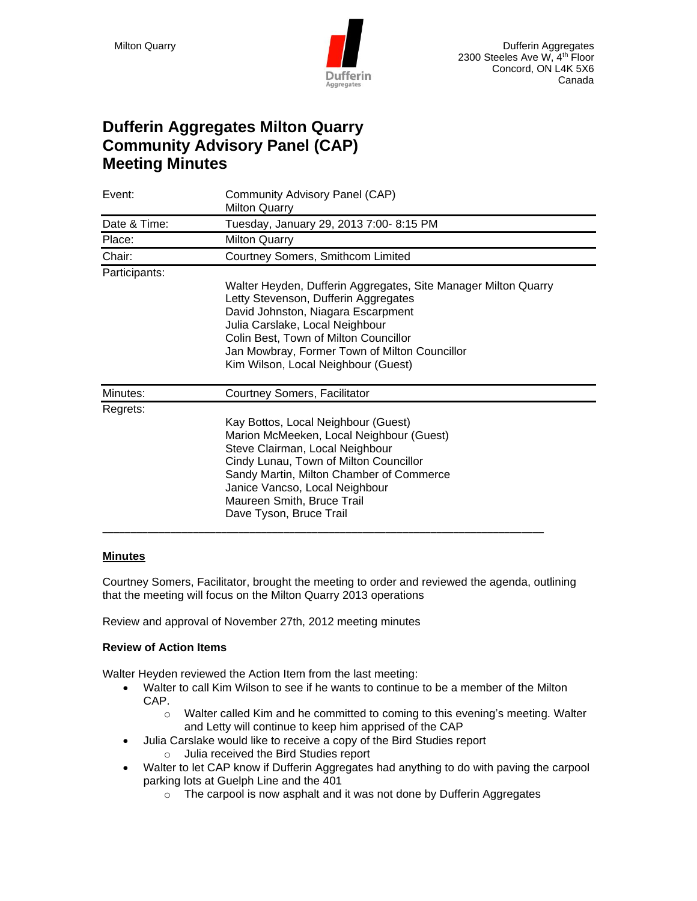

# **Dufferin Aggregates Milton Quarry Community Advisory Panel (CAP) Meeting Minutes**

| Event:        | Community Advisory Panel (CAP)<br><b>Milton Quarry</b>                                                                                                                                                                                                                                                           |
|---------------|------------------------------------------------------------------------------------------------------------------------------------------------------------------------------------------------------------------------------------------------------------------------------------------------------------------|
| Date & Time:  | Tuesday, January 29, 2013 7:00- 8:15 PM                                                                                                                                                                                                                                                                          |
| Place:        | <b>Milton Quarry</b>                                                                                                                                                                                                                                                                                             |
| Chair:        | Courtney Somers, Smithcom Limited                                                                                                                                                                                                                                                                                |
| Participants: | Walter Heyden, Dufferin Aggregates, Site Manager Milton Quarry<br>Letty Stevenson, Dufferin Aggregates<br>David Johnston, Niagara Escarpment<br>Julia Carslake, Local Neighbour<br>Colin Best, Town of Milton Councillor<br>Jan Mowbray, Former Town of Milton Councillor<br>Kim Wilson, Local Neighbour (Guest) |
| Minutes:      | Courtney Somers, Facilitator                                                                                                                                                                                                                                                                                     |
| Regrets:      | Kay Bottos, Local Neighbour (Guest)<br>Marion McMeeken, Local Neighbour (Guest)<br>Steve Clairman, Local Neighbour<br>Cindy Lunau, Town of Milton Councillor<br>Sandy Martin, Milton Chamber of Commerce<br>Janice Vancso, Local Neighbour<br>Maureen Smith, Bruce Trail<br>Dave Tyson, Bruce Trail              |

# **Minutes**

Courtney Somers, Facilitator, brought the meeting to order and reviewed the agenda, outlining that the meeting will focus on the Milton Quarry 2013 operations

Review and approval of November 27th, 2012 meeting minutes

# **Review of Action Items**

Walter Heyden reviewed the Action Item from the last meeting:

- Walter to call Kim Wilson to see if he wants to continue to be a member of the Milton CAP.
	- o Walter called Kim and he committed to coming to this evening's meeting. Walter and Letty will continue to keep him apprised of the CAP
- Julia Carslake would like to receive a copy of the Bird Studies report
	- o Julia received the Bird Studies report
- Walter to let CAP know if Dufferin Aggregates had anything to do with paving the carpool parking lots at Guelph Line and the 401
	- o The carpool is now asphalt and it was not done by Dufferin Aggregates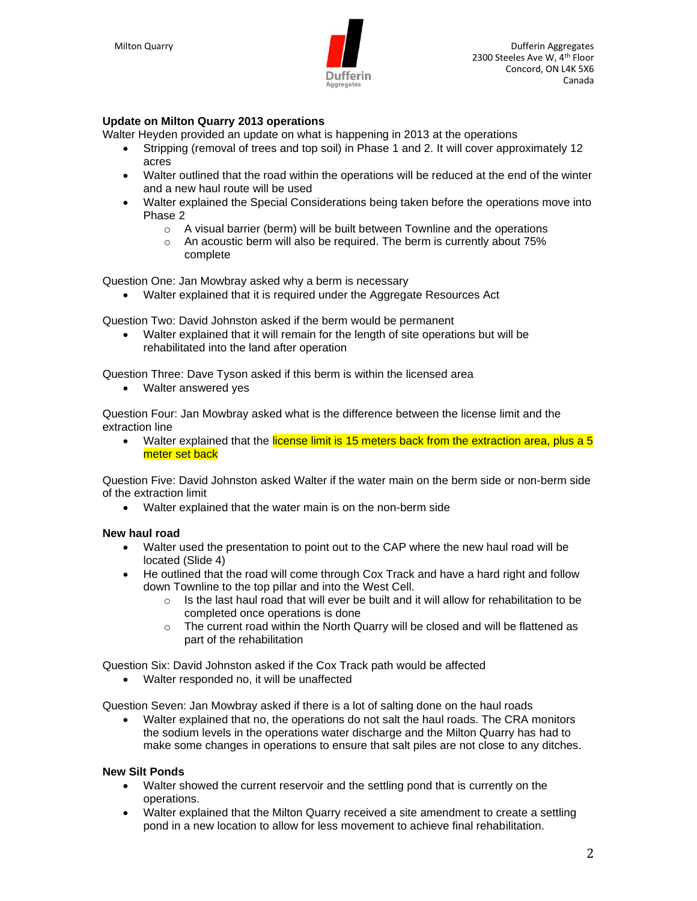

# **Update on Milton Quarry 2013 operations**

Walter Heyden provided an update on what is happening in 2013 at the operations

- Stripping (removal of trees and top soil) in Phase 1 and 2. It will cover approximately 12 acres
- Walter outlined that the road within the operations will be reduced at the end of the winter and a new haul route will be used
- Walter explained the Special Considerations being taken before the operations move into Phase 2
	- o A visual barrier (berm) will be built between Townline and the operations
	- o An acoustic berm will also be required. The berm is currently about 75% complete

Question One: Jan Mowbray asked why a berm is necessary

• Walter explained that it is required under the Aggregate Resources Act

Question Two: David Johnston asked if the berm would be permanent

• Walter explained that it will remain for the length of site operations but will be rehabilitated into the land after operation

Question Three: Dave Tyson asked if this berm is within the licensed area

• Walter answered yes

Question Four: Jan Mowbray asked what is the difference between the license limit and the extraction line

• Walter explained that the license limit is 15 meters back from the extraction area, plus a 5 meter set back

Question Five: David Johnston asked Walter if the water main on the berm side or non-berm side of the extraction limit

• Walter explained that the water main is on the non-berm side

# **New haul road**

- Walter used the presentation to point out to the CAP where the new haul road will be located (Slide 4)
- He outlined that the road will come through Cox Track and have a hard right and follow down Townline to the top pillar and into the West Cell.
	- $\circ$  Is the last haul road that will ever be built and it will allow for rehabilitation to be completed once operations is done
	- $\circ$  The current road within the North Quarry will be closed and will be flattened as part of the rehabilitation

Question Six: David Johnston asked if the Cox Track path would be affected

• Walter responded no, it will be unaffected

Question Seven: Jan Mowbray asked if there is a lot of salting done on the haul roads

• Walter explained that no, the operations do not salt the haul roads. The CRA monitors the sodium levels in the operations water discharge and the Milton Quarry has had to make some changes in operations to ensure that salt piles are not close to any ditches.

#### **New Silt Ponds**

- Walter showed the current reservoir and the settling pond that is currently on the operations.
- Walter explained that the Milton Quarry received a site amendment to create a settling pond in a new location to allow for less movement to achieve final rehabilitation.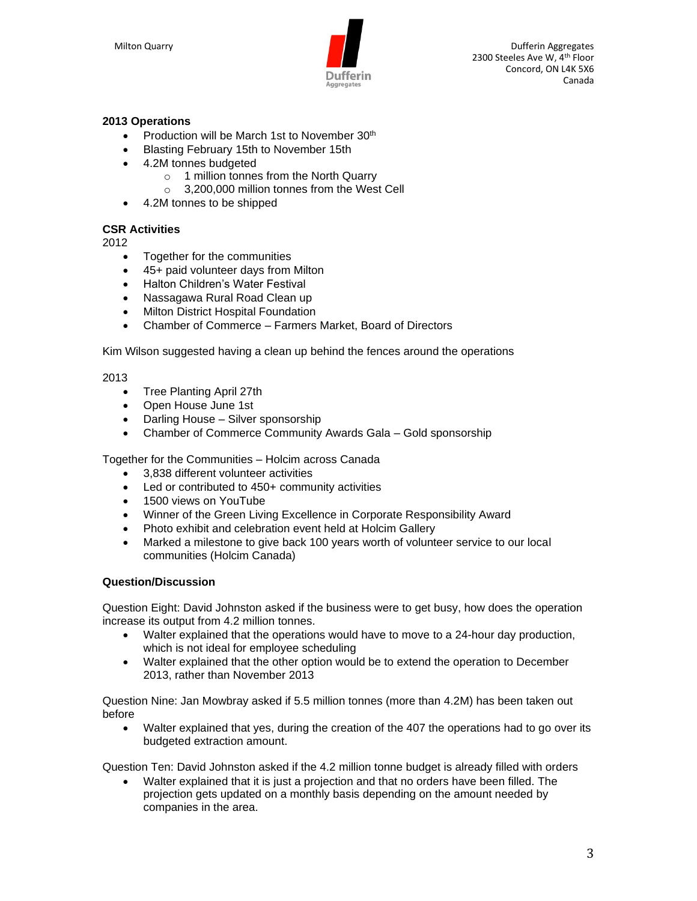

Milton Quarry **Dufferin Aggregates Dufferin Aggregates Dufferin Aggregates** 2300 Steeles Ave W, 4th Floor Concord, ON L4K 5X6 Canada

# **2013 Operations**

- Production will be March 1st to November 30<sup>th</sup>
- Blasting February 15th to November 15th
- 4.2M tonnes budgeted
	- o 1 million tonnes from the North Quarry
	- o 3,200,000 million tonnes from the West Cell
- 4.2M tonnes to be shipped

## **CSR Activities**

2012

- Together for the communities
- 45+ paid volunteer days from Milton
- Halton Children's Water Festival
- Nassagawa Rural Road Clean up
- Milton District Hospital Foundation
- Chamber of Commerce Farmers Market, Board of Directors

Kim Wilson suggested having a clean up behind the fences around the operations

#### 2013

- Tree Planting April 27th
- Open House June 1st
- Darling House Silver sponsorship
- Chamber of Commerce Community Awards Gala Gold sponsorship

Together for the Communities – Holcim across Canada

- 3,838 different volunteer activities
- Led or contributed to 450+ community activities
- 1500 views on YouTube
- Winner of the Green Living Excellence in Corporate Responsibility Award
- Photo exhibit and celebration event held at Holcim Gallery
- Marked a milestone to give back 100 years worth of volunteer service to our local communities (Holcim Canada)

## **Question/Discussion**

Question Eight: David Johnston asked if the business were to get busy, how does the operation increase its output from 4.2 million tonnes.

- Walter explained that the operations would have to move to a 24-hour day production, which is not ideal for employee scheduling
- Walter explained that the other option would be to extend the operation to December 2013, rather than November 2013

Question Nine: Jan Mowbray asked if 5.5 million tonnes (more than 4.2M) has been taken out before

• Walter explained that yes, during the creation of the 407 the operations had to go over its budgeted extraction amount.

Question Ten: David Johnston asked if the 4.2 million tonne budget is already filled with orders

• Walter explained that it is just a projection and that no orders have been filled. The projection gets updated on a monthly basis depending on the amount needed by companies in the area.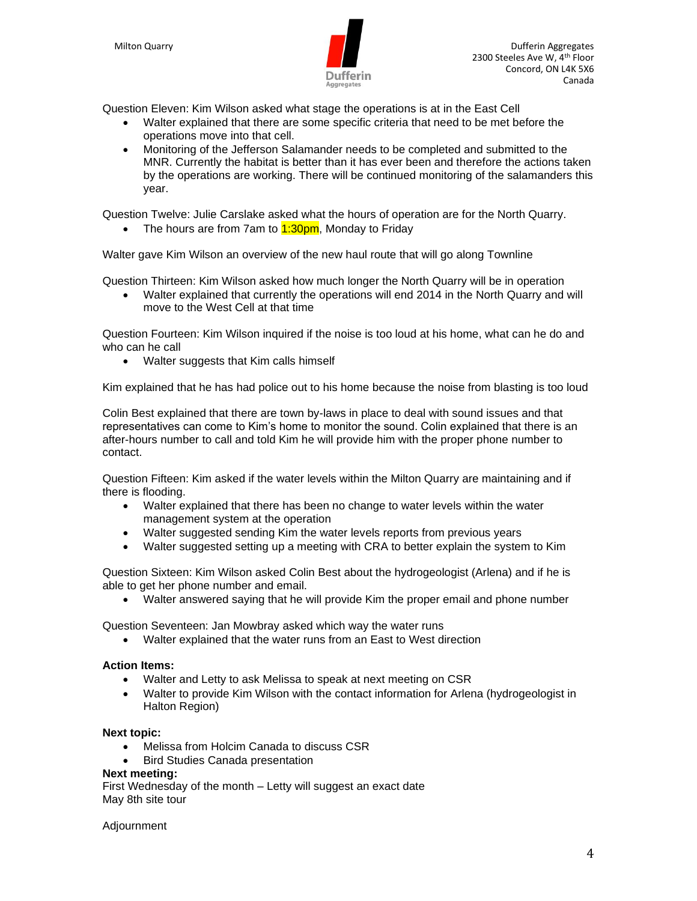

Question Eleven: Kim Wilson asked what stage the operations is at in the East Cell

- Walter explained that there are some specific criteria that need to be met before the operations move into that cell.
- Monitoring of the Jefferson Salamander needs to be completed and submitted to the MNR. Currently the habitat is better than it has ever been and therefore the actions taken by the operations are working. There will be continued monitoring of the salamanders this year.

Question Twelve: Julie Carslake asked what the hours of operation are for the North Quarry.

• The hours are from 7am to  $1:30 \text{pm}$ , Monday to Friday

Walter gave Kim Wilson an overview of the new haul route that will go along Townline

Question Thirteen: Kim Wilson asked how much longer the North Quarry will be in operation

• Walter explained that currently the operations will end 2014 in the North Quarry and will move to the West Cell at that time

Question Fourteen: Kim Wilson inquired if the noise is too loud at his home, what can he do and who can he call

• Walter suggests that Kim calls himself

Kim explained that he has had police out to his home because the noise from blasting is too loud

Colin Best explained that there are town by-laws in place to deal with sound issues and that representatives can come to Kim's home to monitor the sound. Colin explained that there is an after-hours number to call and told Kim he will provide him with the proper phone number to contact.

Question Fifteen: Kim asked if the water levels within the Milton Quarry are maintaining and if there is flooding.

- Walter explained that there has been no change to water levels within the water management system at the operation
- Walter suggested sending Kim the water levels reports from previous years
- Walter suggested setting up a meeting with CRA to better explain the system to Kim

Question Sixteen: Kim Wilson asked Colin Best about the hydrogeologist (Arlena) and if he is able to get her phone number and email.

• Walter answered saying that he will provide Kim the proper email and phone number

Question Seventeen: Jan Mowbray asked which way the water runs

• Walter explained that the water runs from an East to West direction

#### **Action Items:**

- Walter and Letty to ask Melissa to speak at next meeting on CSR
- Walter to provide Kim Wilson with the contact information for Arlena (hydrogeologist in Halton Region)

#### **Next topic:**

- Melissa from Holcim Canada to discuss CSR
- Bird Studies Canada presentation

#### **Next meeting:**

First Wednesday of the month – Letty will suggest an exact date May 8th site tour

Adjournment